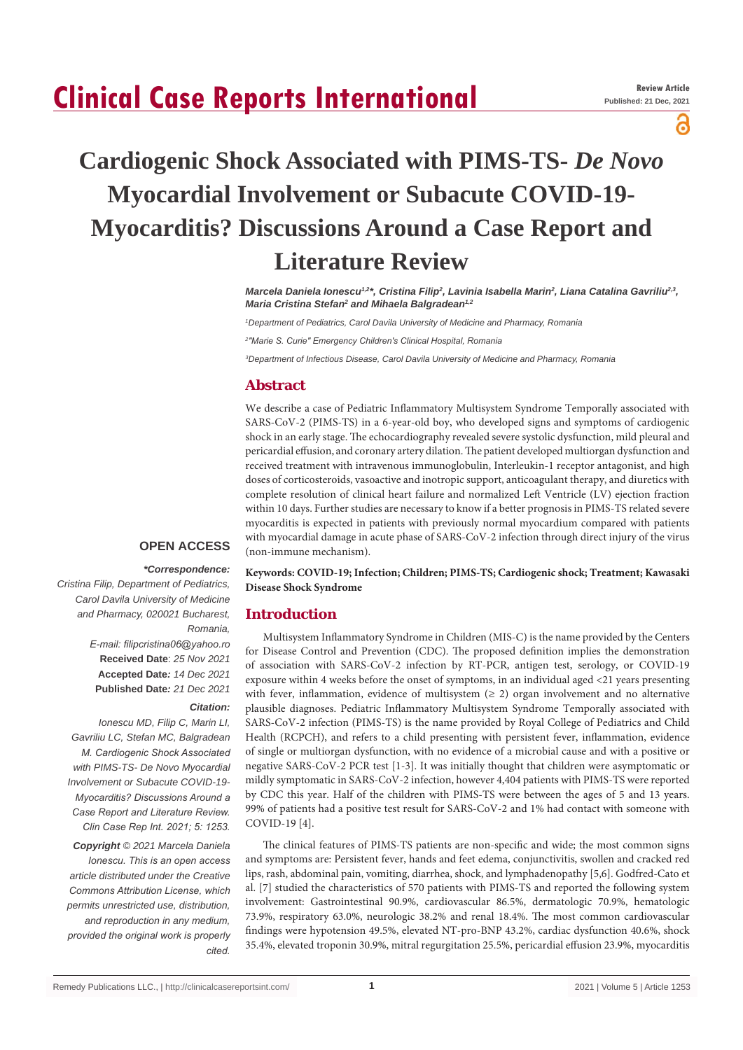# **Clinical Case Reports International**

ဥ

# **Cardiogenic Shock Associated with PIMS-TS-** *De Novo* **Myocardial Involvement or Subacute COVID-19- Myocarditis? Discussions Around a Case Report and Literature Review**

Marcela Daniela Ionescu<sup>42\*</sup>, Cristina Filip<sup>2</sup>, Lavinia Isabella Marin<sup>2</sup>, Liana Catalina Gavriliu<sup>2,3</sup>, *Maria Cristina Stefan2 and Mihaela Balgradean1,2*

*1 Department of Pediatrics, Carol Davila University of Medicine and Pharmacy, Romania*

*2 "Marie S. Curie" Emergency Children's Clinical Hospital, Romania*

*3 Department of Infectious Disease, Carol Davila University of Medicine and Pharmacy, Romania*

### **Abstract**

We describe a case of Pediatric Inflammatory Multisystem Syndrome Temporally associated with SARS-CoV-2 (PIMS-TS) in a 6-year-old boy, who developed signs and symptoms of cardiogenic shock in an early stage. The echocardiography revealed severe systolic dysfunction, mild pleural and pericardial effusion, and coronary artery dilation. The patient developed multiorgan dysfunction and received treatment with intravenous immunoglobulin, Interleukin-1 receptor antagonist, and high doses of corticosteroids, vasoactive and inotropic support, anticoagulant therapy, and diuretics with complete resolution of clinical heart failure and normalized Left Ventricle (LV) ejection fraction within 10 days. Further studies are necessary to know if a better prognosis in PIMS-TS related severe myocarditis is expected in patients with previously normal myocardium compared with patients with myocardial damage in acute phase of SARS-CoV-2 infection through direct injury of the virus (non-immune mechanism).

## **OPEN ACCESS**

#### *\*Correspondence:*

*Cristina Filip, Department of Pediatrics, Carol Davila University of Medicine and Pharmacy, 020021 Bucharest, Romania, E-mail: filipcristina06@yahoo.ro* **Received Date**: *25 Nov 2021* **Accepted Date***: 14 Dec 2021* **Published Date***: 21 Dec 2021*

#### *Citation:*

*Ionescu MD, Filip C, Marin LI, Gavriliu LC, Stefan MC, Balgradean M. Cardiogenic Shock Associated with PIMS-TS- De Novo Myocardial Involvement or Subacute COVID-19- Myocarditis? Discussions Around a Case Report and Literature Review. Clin Case Rep Int. 2021; 5: 1253. Copyright © 2021 Marcela Daniela Ionescu. This is an open access article distributed under the Creative Commons Attribution License, which permits unrestricted use, distribution, and reproduction in any medium, provided the original work is properly cited.*

**Keywords: COVID-19; Infection; Children; PIMS-TS; Cardiogenic shock; Treatment; Kawasaki Disease Shock Syndrome**

#### **Introduction**

Multisystem Inflammatory Syndrome in Children (MIS-C) is the name provided by the Centers for Disease Control and Prevention (CDC). The proposed definition implies the demonstration of association with SARS-CoV-2 infection by RT-PCR, antigen test, serology, or COVID-19 exposure within 4 weeks before the onset of symptoms, in an individual aged <21 years presenting with fever, inflammation, evidence of multisystem  $(≥ 2)$  organ involvement and no alternative plausible diagnoses. Pediatric Inflammatory Multisystem Syndrome Temporally associated with SARS-CoV-2 infection (PIMS-TS) is the name provided by Royal College of Pediatrics and Child Health (RCPCH), and refers to a child presenting with persistent fever, inflammation, evidence of single or multiorgan dysfunction, with no evidence of a microbial cause and with a positive or negative SARS-CoV-2 PCR test [1-3]. It was initially thought that children were asymptomatic or mildly symptomatic in SARS-CoV-2 infection, however 4,404 patients with PIMS-TS were reported by CDC this year. Half of the children with PIMS-TS were between the ages of 5 and 13 years. 99% of patients had a positive test result for SARS-CoV-2 and 1% had contact with someone with COVID-19 [4].

The clinical features of PIMS-TS patients are non-specific and wide; the most common signs and symptoms are: Persistent fever, hands and feet edema, conjunctivitis, swollen and cracked red lips, rash, abdominal pain, vomiting, diarrhea, shock, and lymphadenopathy [5,6]. Godfred-Cato et al. [7] studied the characteristics of 570 patients with PIMS-TS and reported the following system involvement: Gastrointestinal 90.9%, cardiovascular 86.5%, dermatologic 70.9%, hematologic 73.9%, respiratory 63.0%, neurologic 38.2% and renal 18.4%. The most common cardiovascular findings were hypotension 49.5%, elevated NT-pro-BNP 43.2%, cardiac dysfunction 40.6%, shock 35.4%, elevated troponin 30.9%, mitral regurgitation 25.5%, pericardial effusion 23.9%, myocarditis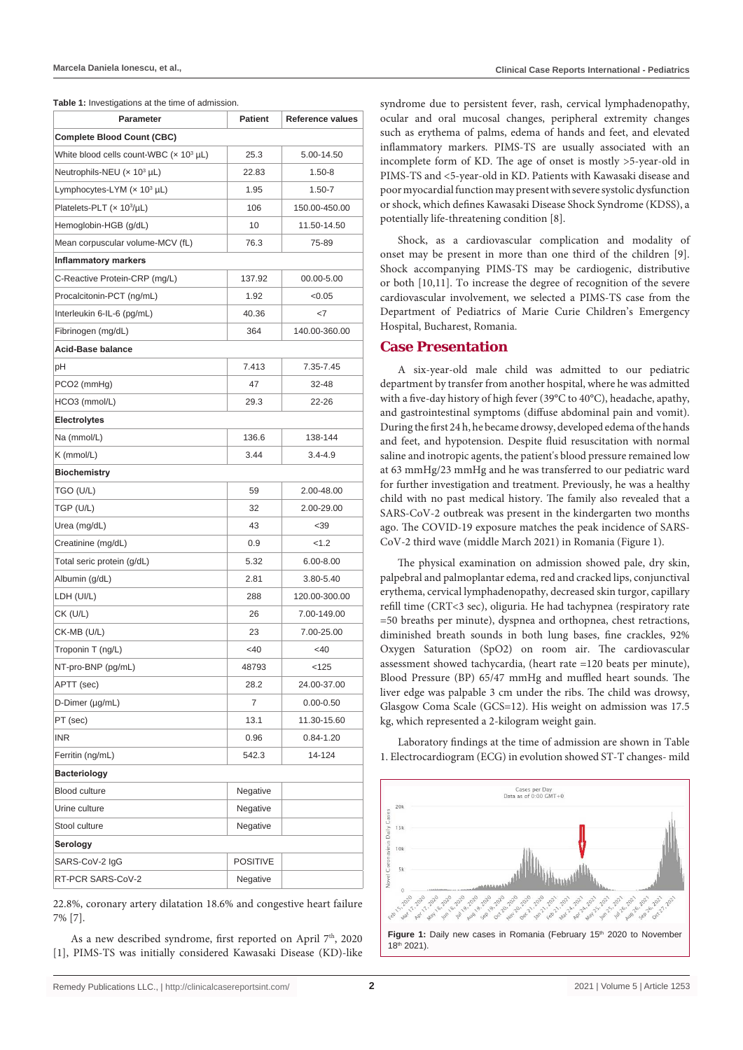| Table 1: Investigations at the time of admission. |  |
|---------------------------------------------------|--|
|---------------------------------------------------|--|

| <b>Parameter</b>                               | <b>Patient</b>  | <b>Reference values</b> |  |  |  |  |  |  |  |
|------------------------------------------------|-----------------|-------------------------|--|--|--|--|--|--|--|
| <b>Complete Blood Count (CBC)</b>              |                 |                         |  |  |  |  |  |  |  |
| White blood cells count-WBC $(x 10^3 \mu L)$   | 25.3            | 5.00-14.50              |  |  |  |  |  |  |  |
| Neutrophils-NEU ( $\times$ 10 <sup>3</sup> µL) | 22.83           | 1.50-8                  |  |  |  |  |  |  |  |
| Lymphocytes-LYM $(x 10^3 \mu L)$               | 1.95            | $1.50 - 7$              |  |  |  |  |  |  |  |
| Platelets-PLT (x 10 <sup>3</sup> /µL)          | 106             | 150.00-450.00           |  |  |  |  |  |  |  |
| Hemoglobin-HGB (g/dL)                          | 10              | 11.50-14.50             |  |  |  |  |  |  |  |
| Mean corpuscular volume-MCV (fL)               | 76.3            | 75-89                   |  |  |  |  |  |  |  |
| <b>Inflammatory markers</b>                    |                 |                         |  |  |  |  |  |  |  |
| C-Reactive Protein-CRP (mg/L)                  | 137.92          | 00.00-5.00              |  |  |  |  |  |  |  |
| Procalcitonin-PCT (ng/mL)                      | 1.92            | <0.05                   |  |  |  |  |  |  |  |
| Interleukin 6-IL-6 (pg/mL)                     | 40.36           | -7                      |  |  |  |  |  |  |  |
| Fibrinogen (mg/dL)                             | 364             | 140.00-360.00           |  |  |  |  |  |  |  |
| <b>Acid-Base balance</b>                       |                 |                         |  |  |  |  |  |  |  |
| рH                                             | 7.413           | 7.35-7.45               |  |  |  |  |  |  |  |
| PCO2 (mmHg)                                    | 47              | 32-48                   |  |  |  |  |  |  |  |
| HCO3 (mmol/L)                                  | 29.3            | 22-26                   |  |  |  |  |  |  |  |
| <b>Electrolytes</b>                            |                 |                         |  |  |  |  |  |  |  |
| Na (mmol/L)                                    | 136.6           | 138-144                 |  |  |  |  |  |  |  |
| K (mmol/L)                                     | 3.44            | 3.4-4.9                 |  |  |  |  |  |  |  |
| <b>Biochemistry</b>                            |                 |                         |  |  |  |  |  |  |  |
| tgo (u/l)                                      | 59              | 2.00-48.00              |  |  |  |  |  |  |  |
| TGP (U/L)                                      | 32              | 2.00-29.00              |  |  |  |  |  |  |  |
| Urea (mg/dL)                                   | 43              | $39$                    |  |  |  |  |  |  |  |
| Creatinine (mg/dL)                             | 0.9             | < 1.2                   |  |  |  |  |  |  |  |
| Total seric protein (g/dL)                     | 5.32            | $6.00 - 8.00$           |  |  |  |  |  |  |  |
| Albumin (g/dL)                                 | 2.81            | 3.80-5.40               |  |  |  |  |  |  |  |
| LDH (UI/L)                                     | 288             | 120.00-300.00           |  |  |  |  |  |  |  |
| CK (U/L)                                       | 26              | 7.00-149.00             |  |  |  |  |  |  |  |
| CK-MB (U/L)                                    | 23              | 7.00-25.00              |  |  |  |  |  |  |  |
| Troponin T (ng/L)                              | <40             | $<$ 40                  |  |  |  |  |  |  |  |
| NT-pro-BNP (pg/mL)                             | 48793           | < 125                   |  |  |  |  |  |  |  |
| APTT (sec)                                     | 28.2            | 24.00-37.00             |  |  |  |  |  |  |  |
| D-Dimer (µg/mL)                                | 7               | 0.00-0.50               |  |  |  |  |  |  |  |
| PT (sec)                                       | 13.1            | 11.30-15.60             |  |  |  |  |  |  |  |
| <b>INR</b>                                     | 0.96            | 0.84-1.20               |  |  |  |  |  |  |  |
| Ferritin (ng/mL)                               | 542.3           | 14-124                  |  |  |  |  |  |  |  |
| <b>Bacteriology</b>                            |                 |                         |  |  |  |  |  |  |  |
| <b>Blood culture</b>                           | Negative        |                         |  |  |  |  |  |  |  |
| Urine culture                                  | Negative        |                         |  |  |  |  |  |  |  |
| Stool culture                                  | Negative        |                         |  |  |  |  |  |  |  |
| Serology                                       |                 |                         |  |  |  |  |  |  |  |
| SARS-CoV-2 IgG                                 | <b>POSITIVE</b> |                         |  |  |  |  |  |  |  |
| RT-PCR SARS-CoV-2                              | Negative        |                         |  |  |  |  |  |  |  |

22.8%, coronary artery dilatation 18.6% and congestive heart failure 7% [7].

As a new described syndrome, first reported on April 7<sup>th</sup>, 2020 [1], PIMS-TS was initially considered Kawasaki Disease (KD)-like

syndrome due to persistent fever, rash, cervical lymphadenopathy, ocular and oral mucosal changes, peripheral extremity changes such as erythema of palms, edema of hands and feet, and elevated inflammatory markers. PIMS-TS are usually associated with an incomplete form of KD. The age of onset is mostly >5-year-old in PIMS-TS and <5-year-old in KD. Patients with Kawasaki disease and poor myocardial function may present with severe systolic dysfunction or shock, which defines Kawasaki Disease Shock Syndrome (KDSS), a potentially life-threatening condition [8].

Shock, as a cardiovascular complication and modality of onset may be present in more than one third of the children [9]. Shock accompanying PIMS-TS may be cardiogenic, distributive or both [10,11]. To increase the degree of recognition of the severe cardiovascular involvement, we selected a PIMS-TS case from the Department of Pediatrics of Marie Curie Children's Emergency Hospital, Bucharest, Romania.

#### **Case Presentation**

A six-year-old male child was admitted to our pediatric department by transfer from another hospital, where he was admitted with a five-day history of high fever (39°C to 40°C), headache, apathy, and gastrointestinal symptoms (diffuse abdominal pain and vomit). During the first 24 h, he became drowsy, developed edema of the hands and feet, and hypotension. Despite fluid resuscitation with normal saline and inotropic agents, the patient's blood pressure remained low at 63 mmHg/23 mmHg and he was transferred to our pediatric ward for further investigation and treatment. Previously, he was a healthy child with no past medical history. The family also revealed that a SARS-CoV-2 outbreak was present in the kindergarten two months ago. The COVID-19 exposure matches the peak incidence of SARS-CoV-2 third wave (middle March 2021) in Romania (Figure 1).

The physical examination on admission showed pale, dry skin, palpebral and palmoplantar edema, red and cracked lips, conjunctival erythema, cervical lymphadenopathy, decreased skin turgor, capillary refill time (CRT<3 sec), oliguria. He had tachypnea (respiratory rate =50 breaths per minute), dyspnea and orthopnea, chest retractions, diminished breath sounds in both lung bases, fine crackles, 92% Oxygen Saturation (SpO2) on room air. The cardiovascular assessment showed tachycardia, (heart rate =120 beats per minute), Blood Pressure (BP) 65/47 mmHg and muffled heart sounds. The liver edge was palpable 3 cm under the ribs. The child was drowsy, Glasgow Coma Scale (GCS=12). His weight on admission was 17.5 kg, which represented a 2-kilogram weight gain.

Laboratory findings at the time of admission are shown in Table 1. Electrocardiogram (ECG) in evolution showed ST-T changes- mild

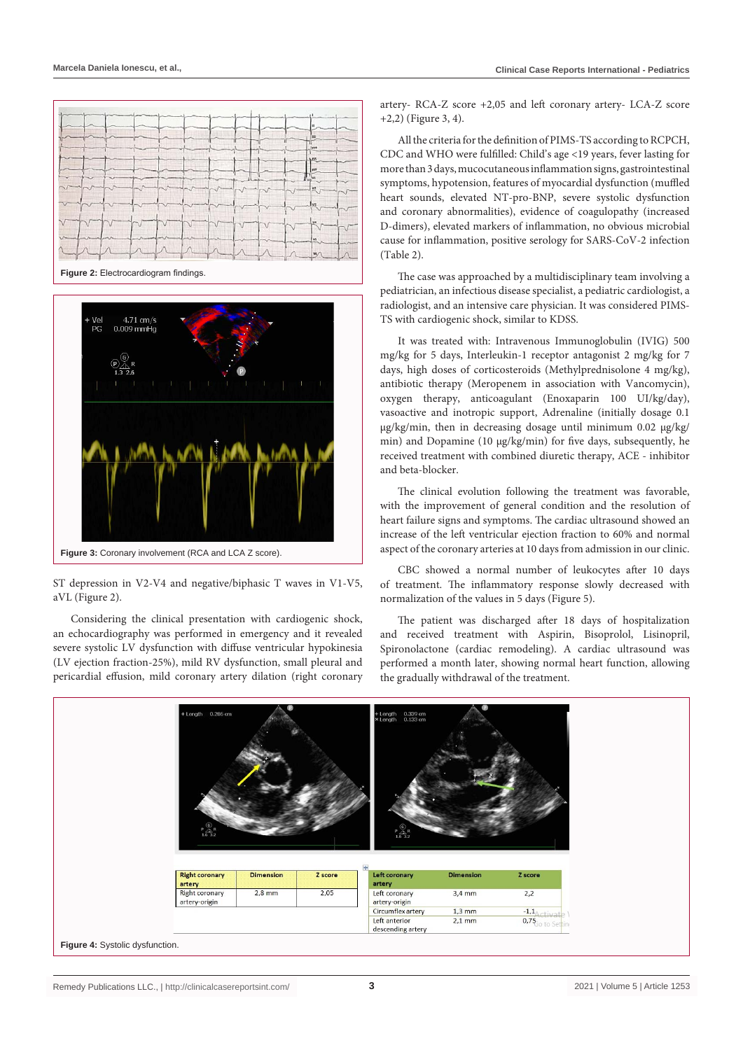





Figure 3: Coronary involvement (RCA and LCA Z score).

ST depression in V2-V4 and negative/biphasic T waves in V1-V5, aVL (Figure 2).

Considering the clinical presentation with cardiogenic shock, an echocardiography was performed in emergency and it revealed severe systolic LV dysfunction with diffuse ventricular hypokinesia (LV ejection fraction-25%), mild RV dysfunction, small pleural and pericardial effusion, mild coronary artery dilation (right coronary artery- RCA-Z score +2,05 and left coronary artery- LCA-Z score +2,2) (Figure 3, 4).

All the criteria for the definition of PIMS-TS according to RCPCH, CDC and WHO were fulfilled: Child's age <19 years, fever lasting for more than 3 days, mucocutaneous inflammation signs, gastrointestinal symptoms, hypotension, features of myocardial dysfunction (muffled heart sounds, elevated NT-pro-BNP, severe systolic dysfunction and coronary abnormalities), evidence of coagulopathy (increased D-dimers), elevated markers of inflammation, no obvious microbial cause for inflammation, positive serology for SARS-CoV-2 infection (Table 2).

The case was approached by a multidisciplinary team involving a pediatrician, an infectious disease specialist, a pediatric cardiologist, a radiologist, and an intensive care physician. It was considered PIMS-TS with cardiogenic shock, similar to KDSS.

It was treated with: Intravenous Immunoglobulin (IVIG) 500 mg/kg for 5 days, Interleukin-1 receptor antagonist 2 mg/kg for 7 days, high doses of corticosteroids (Methylprednisolone 4 mg/kg), antibiotic therapy (Meropenem in association with Vancomycin), oxygen therapy, anticoagulant (Enoxaparin 100 UI/kg/day), vasoactive and inotropic support, Adrenaline (initially dosage 0.1 µg/kg/min, then in decreasing dosage until minimum 0.02 µg/kg/ min) and Dopamine (10 µg/kg/min) for five days, subsequently, he received treatment with combined diuretic therapy, ACE - inhibitor and beta-blocker.

The clinical evolution following the treatment was favorable, with the improvement of general condition and the resolution of heart failure signs and symptoms. The cardiac ultrasound showed an increase of the left ventricular ejection fraction to 60% and normal aspect of the coronary arteries at 10 days from admission in our clinic.

CBC showed a normal number of leukocytes after 10 days of treatment. The inflammatory response slowly decreased with normalization of the values in 5 days (Figure 5).

The patient was discharged after 18 days of hospitalization and received treatment with Aspirin, Bisoprolol, Lisinopril, Spironolactone (cardiac remodeling). A cardiac ultrasound was performed a month later, showing normal heart function, allowing the gradually withdrawal of the treatment.

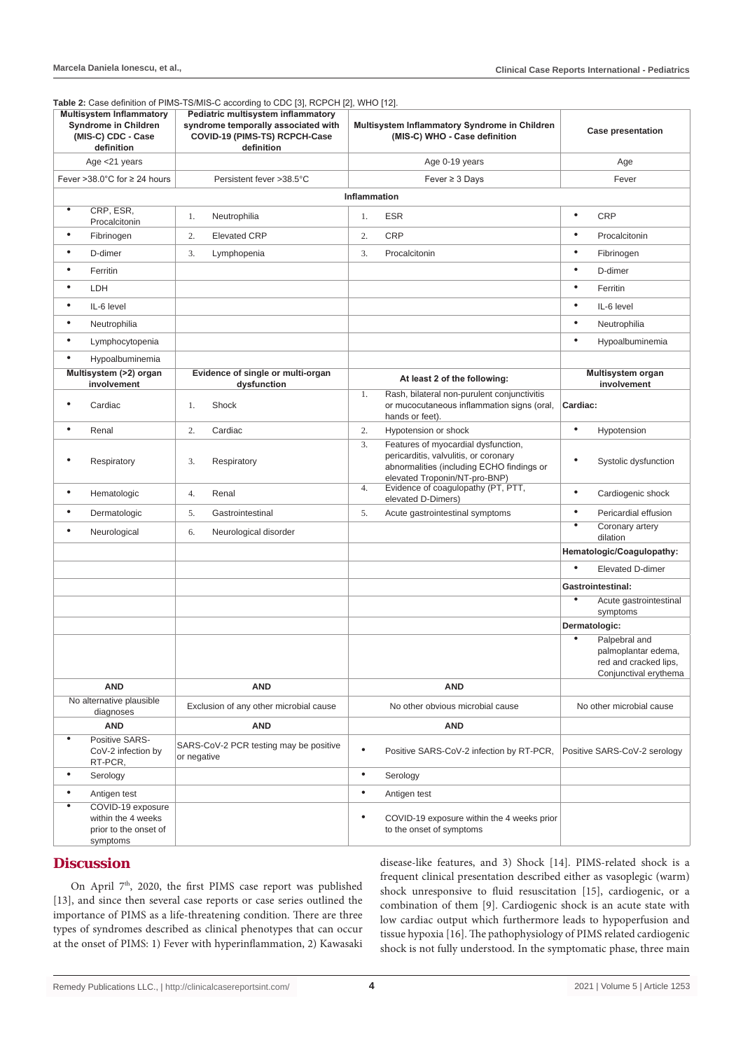|                                                                                                    |                                                                              |                                                                                                                          | Table 2: Case definition of PIMS-TS/MIS-C according to CDC [3], RCPCH [2], WHO [12]. |                                                       |                                                                                                                                                            |                           |                                                                                        |
|----------------------------------------------------------------------------------------------------|------------------------------------------------------------------------------|--------------------------------------------------------------------------------------------------------------------------|--------------------------------------------------------------------------------------|-------------------------------------------------------|------------------------------------------------------------------------------------------------------------------------------------------------------------|---------------------------|----------------------------------------------------------------------------------------|
| <b>Multisystem Inflammatory</b><br><b>Syndrome in Children</b><br>(MIS-C) CDC - Case<br>definition |                                                                              | Pediatric multisystem inflammatory<br>syndrome temporally associated with<br>COVID-19 (PIMS-TS) RCPCH-Case<br>definition | Multisystem Inflammatory Syndrome in Children<br>(MIS-C) WHO - Case definition       |                                                       | <b>Case presentation</b>                                                                                                                                   |                           |                                                                                        |
|                                                                                                    | Age <21 years                                                                |                                                                                                                          |                                                                                      |                                                       | Age 0-19 years                                                                                                                                             |                           | Age                                                                                    |
|                                                                                                    | Fever > 38.0 $^{\circ}$ C for $\geq$ 24 hours                                |                                                                                                                          | Persistent fever >38.5°C                                                             |                                                       | Fever $\geq$ 3 Days                                                                                                                                        |                           | Fever                                                                                  |
|                                                                                                    |                                                                              |                                                                                                                          |                                                                                      | <b>Inflammation</b>                                   |                                                                                                                                                            |                           |                                                                                        |
| $\bullet$                                                                                          | CRP, ESR,<br>Procalcitonin                                                   | 1.                                                                                                                       | Neutrophilia                                                                         | 1.                                                    | <b>ESR</b>                                                                                                                                                 | $\bullet$                 | CRP                                                                                    |
| $\bullet$                                                                                          | Fibrinogen                                                                   | 2.                                                                                                                       | <b>Elevated CRP</b>                                                                  | 2.                                                    | <b>CRP</b>                                                                                                                                                 | $\bullet$                 | Procalcitonin                                                                          |
| $\bullet$                                                                                          | D-dimer                                                                      | 3.                                                                                                                       | Lymphopenia                                                                          | 3.                                                    | Procalcitonin                                                                                                                                              | $\bullet$                 | Fibrinogen                                                                             |
| $\bullet$                                                                                          | Ferritin                                                                     |                                                                                                                          |                                                                                      |                                                       |                                                                                                                                                            | $\bullet$                 | D-dimer                                                                                |
| $\bullet$                                                                                          | LDH                                                                          |                                                                                                                          |                                                                                      |                                                       |                                                                                                                                                            | $\bullet$                 | Ferritin                                                                               |
| $\bullet$                                                                                          | IL-6 level                                                                   |                                                                                                                          |                                                                                      |                                                       |                                                                                                                                                            | $\bullet$                 | IL-6 level                                                                             |
| $\bullet$                                                                                          | Neutrophilia                                                                 |                                                                                                                          |                                                                                      |                                                       |                                                                                                                                                            | $\bullet$                 | Neutrophilia                                                                           |
| $\bullet$                                                                                          | Lymphocytopenia                                                              |                                                                                                                          |                                                                                      |                                                       |                                                                                                                                                            | $\bullet$                 | Hypoalbuminemia                                                                        |
| $\bullet$                                                                                          | Hypoalbuminemia                                                              |                                                                                                                          |                                                                                      |                                                       |                                                                                                                                                            |                           |                                                                                        |
|                                                                                                    | Multisystem (>2) organ                                                       |                                                                                                                          | Evidence of single or multi-organ                                                    |                                                       | At least 2 of the following:                                                                                                                               |                           | Multisystem organ                                                                      |
| $\bullet$                                                                                          | involvement<br>Cardiac                                                       | 1.                                                                                                                       | dysfunction<br>Shock                                                                 | 1.                                                    | Rash, bilateral non-purulent conjunctivitis<br>or mucocutaneous inflammation signs (oral,<br>hands or feet).                                               | Cardiac:                  | involvement                                                                            |
| $\bullet$                                                                                          | Renal                                                                        | 2.                                                                                                                       | Cardiac                                                                              | 2.                                                    | Hypotension or shock                                                                                                                                       | $\bullet$                 | Hypotension                                                                            |
| $\bullet$                                                                                          | Respiratory                                                                  | 3.                                                                                                                       | Respiratory                                                                          | 3.                                                    | Features of myocardial dysfunction,<br>pericarditis, valvulitis, or coronary<br>abnormalities (including ECHO findings or<br>elevated Troponin/NT-pro-BNP) | $\bullet$                 | Systolic dysfunction                                                                   |
| $\bullet$                                                                                          | Hematologic                                                                  | 4.                                                                                                                       | Renal                                                                                | 4.                                                    | Evidence of coagulopathy (PT, PTT,<br>elevated D-Dimers)                                                                                                   | $\bullet$                 | Cardiogenic shock                                                                      |
| $\bullet$                                                                                          | Dermatologic                                                                 | 5.                                                                                                                       | Gastrointestinal                                                                     | 5.                                                    | Acute gastrointestinal symptoms                                                                                                                            | $\bullet$                 | Pericardial effusion                                                                   |
| $\bullet$                                                                                          | Neurological                                                                 | 6.                                                                                                                       | Neurological disorder                                                                |                                                       |                                                                                                                                                            | $\bullet$                 | Coronary artery<br>dilation                                                            |
|                                                                                                    |                                                                              |                                                                                                                          |                                                                                      |                                                       |                                                                                                                                                            | Hematologic/Coagulopathy: |                                                                                        |
|                                                                                                    |                                                                              |                                                                                                                          |                                                                                      |                                                       |                                                                                                                                                            | $\bullet$                 | <b>Elevated D-dimer</b>                                                                |
|                                                                                                    |                                                                              |                                                                                                                          |                                                                                      |                                                       |                                                                                                                                                            | Gastrointestinal:         |                                                                                        |
|                                                                                                    |                                                                              |                                                                                                                          |                                                                                      |                                                       |                                                                                                                                                            | $\bullet$                 | Acute gastrointestinal<br>symptoms                                                     |
|                                                                                                    |                                                                              |                                                                                                                          |                                                                                      | Dermatologic:                                         |                                                                                                                                                            |                           |                                                                                        |
|                                                                                                    |                                                                              |                                                                                                                          |                                                                                      |                                                       |                                                                                                                                                            | $\overline{\bullet}$      | Palpebral and<br>palmoplantar edema,<br>red and cracked lips,<br>Conjunctival erythema |
|                                                                                                    | <b>AND</b>                                                                   |                                                                                                                          | <b>AND</b>                                                                           |                                                       | <b>AND</b>                                                                                                                                                 |                           |                                                                                        |
|                                                                                                    | No alternative plausible<br>diagnoses                                        |                                                                                                                          | Exclusion of any other microbial cause                                               | No other obvious microbial cause                      |                                                                                                                                                            |                           | No other microbial cause                                                               |
|                                                                                                    | <b>AND</b>                                                                   |                                                                                                                          | <b>AND</b>                                                                           |                                                       | AND                                                                                                                                                        |                           |                                                                                        |
| $\bullet$                                                                                          | Positive SARS-<br>CoV-2 infection by<br>RT-PCR,                              | or negative                                                                                                              | SARS-CoV-2 PCR testing may be positive                                               | $\bullet$<br>Positive SARS-CoV-2 infection by RT-PCR, |                                                                                                                                                            |                           | Positive SARS-CoV-2 serology                                                           |
| $\bullet$                                                                                          | Serology                                                                     |                                                                                                                          |                                                                                      | $\bullet$                                             | Serology                                                                                                                                                   |                           |                                                                                        |
| $\bullet$                                                                                          | Antigen test                                                                 |                                                                                                                          |                                                                                      | $\bullet$                                             | Antigen test                                                                                                                                               |                           |                                                                                        |
| $\bullet$                                                                                          | COVID-19 exposure<br>within the 4 weeks<br>prior to the onset of<br>symptoms |                                                                                                                          |                                                                                      | $\bullet$                                             | COVID-19 exposure within the 4 weeks prior<br>to the onset of symptoms                                                                                     |                           |                                                                                        |

# **Discussion**

On April 7<sup>th</sup>, 2020, the first PIMS case report was published [13], and since then several case reports or case series outlined the importance of PIMS as a life-threatening condition. There are three types of syndromes described as clinical phenotypes that can occur at the onset of PIMS: 1) Fever with hyperinflammation, 2) Kawasaki disease-like features, and 3) Shock [14]. PIMS-related shock is a frequent clinical presentation described either as vasoplegic (warm) shock unresponsive to fluid resuscitation [15], cardiogenic, or a combination of them [9]. Cardiogenic shock is an acute state with low cardiac output which furthermore leads to hypoperfusion and tissue hypoxia [16]. The pathophysiology of PIMS related cardiogenic shock is not fully understood. In the symptomatic phase, three main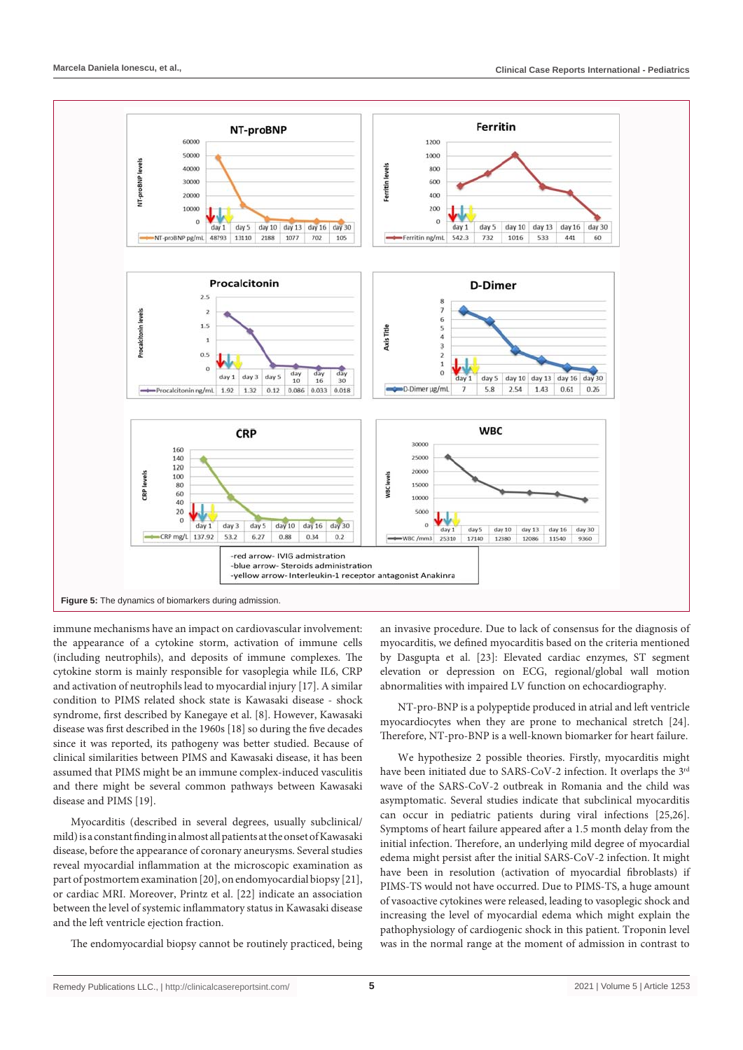

immune mechanisms have an impact on cardiovascular involvement: the appearance of a cytokine storm, activation of immune cells (including neutrophils), and deposits of immune complexes. The cytokine storm is mainly responsible for vasoplegia while IL6, CRP and activation of neutrophils lead to myocardial injury [17]. A similar condition to PIMS related shock state is Kawasaki disease - shock syndrome, first described by Kanegaye et al. [8]. However, Kawasaki disease was first described in the 1960s [18] so during the five decades since it was reported, its pathogeny was better studied. Because of clinical similarities between PIMS and Kawasaki disease, it has been assumed that PIMS might be an immune complex-induced vasculitis and there might be several common pathways between Kawasaki disease and PIMS [19].

Myocarditis (described in several degrees, usually subclinical/ mild) is a constant finding in almost all patients at the onset of Kawasaki disease, before the appearance of coronary aneurysms. Several studies reveal myocardial inflammation at the microscopic examination as part of postmortem examination [20], on endomyocardial biopsy [21], or cardiac MRI. Moreover, Printz et al. [22] indicate an association between the level of systemic inflammatory status in Kawasaki disease and the left ventricle ejection fraction.

The endomyocardial biopsy cannot be routinely practiced, being

an invasive procedure. Due to lack of consensus for the diagnosis of myocarditis, we defined myocarditis based on the criteria mentioned by Dasgupta et al. [23]: Elevated cardiac enzymes, ST segment elevation or depression on ECG, regional/global wall motion abnormalities with impaired LV function on echocardiography.

NT-pro-BNP is a polypeptide produced in atrial and left ventricle myocardiocytes when they are prone to mechanical stretch [24]. Therefore, NT-pro-BNP is a well-known biomarker for heart failure.

We hypothesize 2 possible theories. Firstly, myocarditis might have been initiated due to SARS-CoV-2 infection. It overlaps the 3<sup>rd</sup> wave of the SARS-CoV-2 outbreak in Romania and the child was asymptomatic. Several studies indicate that subclinical myocarditis can occur in pediatric patients during viral infections [25,26]. Symptoms of heart failure appeared after a 1.5 month delay from the initial infection. Therefore, an underlying mild degree of myocardial edema might persist after the initial SARS-CoV-2 infection. It might have been in resolution (activation of myocardial fibroblasts) if PIMS-TS would not have occurred. Due to PIMS-TS, a huge amount of vasoactive cytokines were released, leading to vasoplegic shock and increasing the level of myocardial edema which might explain the pathophysiology of cardiogenic shock in this patient. Troponin level was in the normal range at the moment of admission in contrast to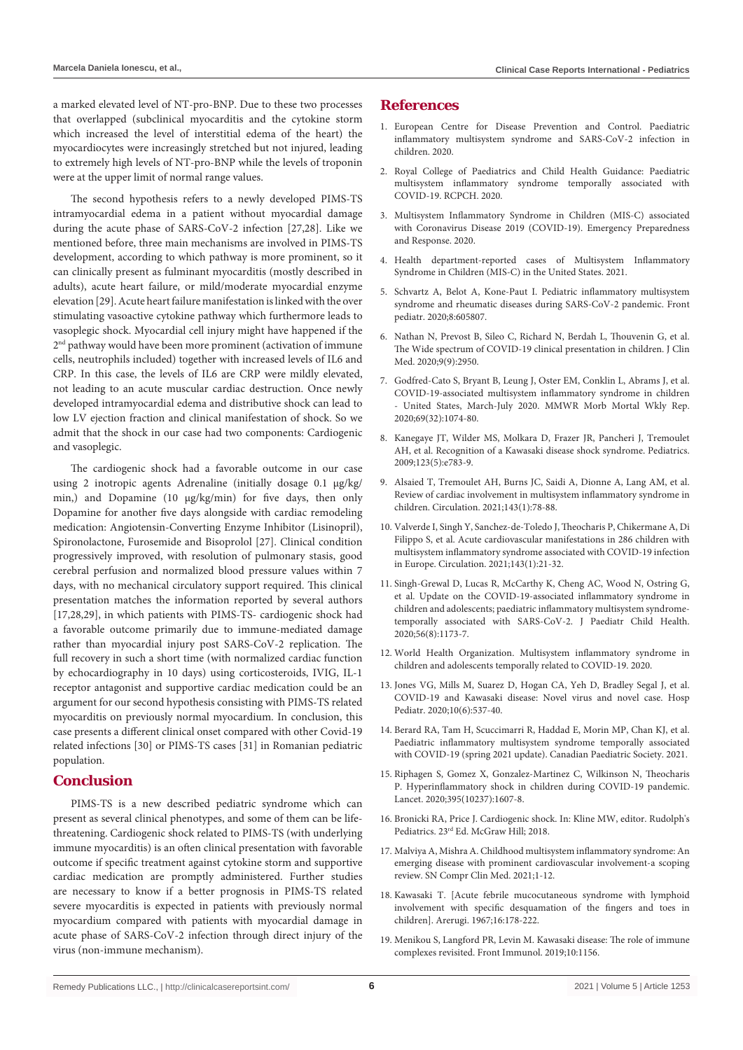a marked elevated level of NT-pro-BNP. Due to these two processes that overlapped (subclinical myocarditis and the cytokine storm which increased the level of interstitial edema of the heart) the myocardiocytes were increasingly stretched but not injured, leading to extremely high levels of NT-pro-BNP while the levels of troponin were at the upper limit of normal range values.

The second hypothesis refers to a newly developed PIMS-TS intramyocardial edema in a patient without myocardial damage during the acute phase of SARS-CoV-2 infection [27,28]. Like we mentioned before, three main mechanisms are involved in PIMS-TS development, according to which pathway is more prominent, so it can clinically present as fulminant myocarditis (mostly described in adults), acute heart failure, or mild/moderate myocardial enzyme elevation [29]. Acute heart failure manifestation is linked with the over stimulating vasoactive cytokine pathway which furthermore leads to vasoplegic shock. Myocardial cell injury might have happened if the 2<sup>nd</sup> pathway would have been more prominent (activation of immune cells, neutrophils included) together with increased levels of IL6 and CRP. In this case, the levels of IL6 are CRP were mildly elevated, not leading to an acute muscular cardiac destruction. Once newly developed intramyocardial edema and distributive shock can lead to low LV ejection fraction and clinical manifestation of shock. So we admit that the shock in our case had two components: Cardiogenic and vasoplegic.

The cardiogenic shock had a favorable outcome in our case using 2 inotropic agents Adrenaline (initially dosage 0.1 µg/kg/ min,) and Dopamine (10 µg/kg/min) for five days, then only Dopamine for another five days alongside with cardiac remodeling medication: Angiotensin-Converting Enzyme Inhibitor (Lisinopril), Spironolactone, Furosemide and Bisoprolol [27]. Clinical condition progressively improved, with resolution of pulmonary stasis, good cerebral perfusion and normalized blood pressure values within 7 days, with no mechanical circulatory support required. This clinical presentation matches the information reported by several authors [17,28,29], in which patients with PIMS-TS- cardiogenic shock had a favorable outcome primarily due to immune-mediated damage rather than myocardial injury post SARS-CoV-2 replication. The full recovery in such a short time (with normalized cardiac function by echocardiography in 10 days) using corticosteroids, IVIG, IL-1 receptor antagonist and supportive cardiac medication could be an argument for our second hypothesis consisting with PIMS-TS related myocarditis on previously normal myocardium. In conclusion, this case presents a different clinical onset compared with other Covid-19 related infections [30] or PIMS-TS cases [31] in Romanian pediatric population.

#### **Conclusion**

PIMS-TS is a new described pediatric syndrome which can present as several clinical phenotypes, and some of them can be lifethreatening. Cardiogenic shock related to PIMS-TS (with underlying immune myocarditis) is an often clinical presentation with favorable outcome if specific treatment against cytokine storm and supportive cardiac medication are promptly administered. Further studies are necessary to know if a better prognosis in PIMS-TS related severe myocarditis is expected in patients with previously normal myocardium compared with patients with myocardial damage in acute phase of SARS-CoV-2 infection through direct injury of the virus (non-immune mechanism).

### **References**

- 1. Europea[n Centre for Disease Prevention and Control. Paediatric](https://www.ecdc.europa.eu/sites/default/files/documents/covid-19-risk-assessment-paediatric-inflammatory-multisystem-syndrome-15-May-2020.pdf)  [inflammatory multisystem syndrome and SARS-CoV-2 infection in](https://www.ecdc.europa.eu/sites/default/files/documents/covid-19-risk-assessment-paediatric-inflammatory-multisystem-syndrome-15-May-2020.pdf)  [children. 2020.](https://www.ecdc.europa.eu/sites/default/files/documents/covid-19-risk-assessment-paediatric-inflammatory-multisystem-syndrome-15-May-2020.pdf)
- 2. [Royal College of Paediatrics and Child Health Guidance: Paediatric](https://www.rcpch.ac.uk/sites/default/files/2020-05/COVID-19-Paediatric-multisystem- inflammatory syndrome-20200501.pdf)  [multisystem inflammatory syndrome temporally associated with](https://www.rcpch.ac.uk/sites/default/files/2020-05/COVID-19-Paediatric-multisystem- inflammatory syndrome-20200501.pdf)  [COVID-19. RCPCH. 2020.](https://www.rcpch.ac.uk/sites/default/files/2020-05/COVID-19-Paediatric-multisystem- inflammatory syndrome-20200501.pdf)
- 3. [Multisystem Inflammatory Syndrome in Children \(MIS-C\) associated](https://emergency.cdc.gov/han/2020/han00432.asp)  [with Coronavirus Disease 2019 \(COVID-19\). Emergency Preparedness](https://emergency.cdc.gov/han/2020/han00432.asp)  [and Response. 2020.](https://emergency.cdc.gov/han/2020/han00432.asp)
- 4. [Health department-reported cases of Multisystem Inflammatory](https://covid.cdc.gov/covid-data-tracker/#mis-national-surveillance)  [Syndrome in Children \(MIS-C\) in the United States. 2021.](https://covid.cdc.gov/covid-data-tracker/#mis-national-surveillance)
- 5. [Schvartz A, Belot A, Kone-Paut I. Pediatric inflammatory multisystem](https://pubmed.ncbi.nlm.nih.gov/33344389/)  [syndrome and rheumatic diseases during SARS-CoV-2 pandemic. Front](https://pubmed.ncbi.nlm.nih.gov/33344389/)  [pediatr. 2020;8:605807.](https://pubmed.ncbi.nlm.nih.gov/33344389/)
- 6. [Nathan N, Prevost B, Sileo C, Richard N, Berdah L, Thouvenin G, et al.](https://pubmed.ncbi.nlm.nih.gov/32932612/)  [The Wide spectrum of COVID-19 clinical presentation in children. J Clin](https://pubmed.ncbi.nlm.nih.gov/32932612/)  [Med. 2020;9\(9\):2950.](https://pubmed.ncbi.nlm.nih.gov/32932612/)
- 7. [Godfred-Cato S, Bryant B, Leung J, Oster EM, Conklin L, Abrams J, et al.](https://pubmed.ncbi.nlm.nih.gov/32790663/)  [COVID-19-associated multisystem inflammatory syndrome in children](https://pubmed.ncbi.nlm.nih.gov/32790663/)  [- United States, March-July 2020. MMWR Morb Mortal Wkly Rep.](https://pubmed.ncbi.nlm.nih.gov/32790663/)  [2020;69\(32\):1074-80.](https://pubmed.ncbi.nlm.nih.gov/32790663/)
- 8. [Kanegaye JT, Wilder MS, Molkara D, Frazer JR, Pancheri J, Tremoulet](https://pubmed.ncbi.nlm.nih.gov/19403470/)  [AH, et al. Recognition of a Kawasaki disease shock syndrome. Pediatrics.](https://pubmed.ncbi.nlm.nih.gov/19403470/)  [2009;123\(5\):e783-9.](https://pubmed.ncbi.nlm.nih.gov/19403470/)
- 9. [Alsaied T, Tremoulet AH, Burns JC, Saidi A, Dionne A, Lang AM, et al.](https://pubmed.ncbi.nlm.nih.gov/33166178/)  [Review of cardiac involvement in multisystem inflammatory syndrome in](https://pubmed.ncbi.nlm.nih.gov/33166178/)  [children. Circulation. 2021;143\(1\):78-88.](https://pubmed.ncbi.nlm.nih.gov/33166178/)
- 10. [Valverde I, Singh Y, Sanchez-de-Toledo J, Theocharis P, Chikermane A, Di](https://pubmed.ncbi.nlm.nih.gov/33166189/)  [Filippo S, et al. Acute cardiovascular manifestations in 286 children with](https://pubmed.ncbi.nlm.nih.gov/33166189/)  [multisystem inflammatory syndrome associated with COVID-19 infection](https://pubmed.ncbi.nlm.nih.gov/33166189/)  [in Europe. Circulation. 2021;143\(1\):21-32.](https://pubmed.ncbi.nlm.nih.gov/33166189/)
- 11. [Singh-Grewal D, Lucas R, McCarthy K, Cheng AC, Wood N, Ostring G,](https://pubmed.ncbi.nlm.nih.gov/32735721/)  [et al. Update on the COVID-19-associated inflammatory syndrome in](https://pubmed.ncbi.nlm.nih.gov/32735721/)  [children and adolescents; paediatric inflammatory multisystem syndrome](https://pubmed.ncbi.nlm.nih.gov/32735721/)[temporally associated with SARS-CoV-2. J Paediatr Child Health.](https://pubmed.ncbi.nlm.nih.gov/32735721/)  [2020;56\(8\):1173-7.](https://pubmed.ncbi.nlm.nih.gov/32735721/)
- 12. [World Health Organization. Multisystem inflammatory syndrome in](https://www.who.int/news-room/commentaries/detail/multisystem-inflammatory-syndrome-in-children-and-adolescents-with-covid-19)  [children and adolescents temporally related to COVID-19. 2020.](https://www.who.int/news-room/commentaries/detail/multisystem-inflammatory-syndrome-in-children-and-adolescents-with-covid-19)
- 13. [Jones VG, Mills M, Suarez D, Hogan CA, Yeh D, Bradley Segal J, et al.](https://pubmed.ncbi.nlm.nih.gov/32265235/)  [COVID-19 and Kawasaki disease: Novel virus and novel case. Hosp](https://pubmed.ncbi.nlm.nih.gov/32265235/)  [Pediatr. 2020;10\(6\):537-40.](https://pubmed.ncbi.nlm.nih.gov/32265235/)
- 14. [Berard RA, Tam H, Scuccimarri R, Haddad E, Morin MP, Chan KJ, et al.](https://cps.ca/en/documents/position/pims)  [Paediatric inflammatory multisystem syndrome temporally associated](https://cps.ca/en/documents/position/pims)  [with COVID-19 \(spring 2021 update\). Canadian Paediatric Society. 2021.](https://cps.ca/en/documents/position/pims)
- 15. [Riphagen S, Gomez X, Gonzalez-Martinez C, Wilkinson N, Theocharis](https://pubmed.ncbi.nlm.nih.gov/32386565/)  [P. Hyperinflammatory shock in children during COVID-19 pandemic.](https://pubmed.ncbi.nlm.nih.gov/32386565/)  [Lancet. 2020;395\(10237\):1607-8.](https://pubmed.ncbi.nlm.nih.gov/32386565/)
- 16. [Bronicki RA, Price J. Cardiogenic shock. In: Kline MW, editor. Rudolph's](https://accesspediatrics.mhmedical.com/content.aspx?bookid=2126§ionid=166914620)  [Pediatrics. 23rd Ed. McGraw Hill; 2018.](https://accesspediatrics.mhmedical.com/content.aspx?bookid=2126§ionid=166914620)
- 17. [Malviya A, Mishra A. Childhood multisystem inflammatory syndrome: An](https://pubmed.ncbi.nlm.nih.gov/33437929/)  [emerging disease with prominent cardiovascular involvement-a scoping](https://pubmed.ncbi.nlm.nih.gov/33437929/)  [review. SN Compr Clin Med. 2021;1-12.](https://pubmed.ncbi.nlm.nih.gov/33437929/)
- 18. [Kawasaki T. \[Acute febrile mucocutaneous syndrome with lymphoid](https://pubmed.ncbi.nlm.nih.gov/6062087/)  [involvement with specific desquamation of the fingers and toes in](https://pubmed.ncbi.nlm.nih.gov/6062087/)  [children\]. Arerugi. 1967;16:178-222.](https://pubmed.ncbi.nlm.nih.gov/6062087/)
- 19. [Menikou S, Langford PR, Levin M. Kawasaki disease: The role of immune](https://pubmed.ncbi.nlm.nih.gov/31263461/)  [complexes revisited. Front Immunol. 2019;10:1156.](https://pubmed.ncbi.nlm.nih.gov/31263461/)